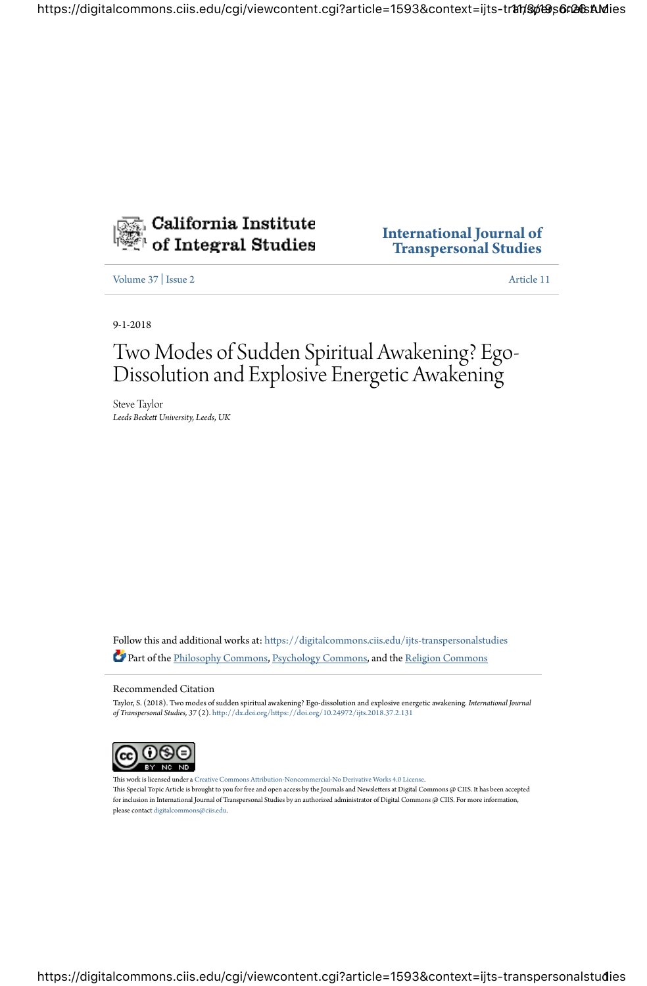

**International Journal of Transpersonal Studies**

Volume 37 | Issue 2 Article 11

9-1-2018

# Two Modes of Sudden Spiritual Awakening? Ego-Dissolution and Explosive Energetic Awakening

Steve Taylor *Leeds Becke) University, Leeds, UK*

Follow this and additional works at: https://digitalcommons.ciis.edu/ijts-transpersonalstudies Part of the Philosophy Commons, Psychology Commons, and the Religion Commons

Recommended Citation

Taylor, S. (2018). Two modes of sudden spiritual awakening? Ego-dissolution and explosive energetic awakening. *International Journal of Transpersonal Studies, 37 (2). http://dx.doi.org/https://doi.org/10.24972/ijts.2018.37.2.131* 



This work is licensed under a Creative Commons Attribution-Noncommercial-No Derivative Works 4.0 License. This Special Topic Article is brought to you for free and open access by the Journals and Newsletters at Digital Commons @ CIIS. It has been accepted for inclusion in International Journal of Transpersonal Studies by an authorized administrator of Digital Commons @ CIIS. For more information, please contact digitalcommons@ciis.edu.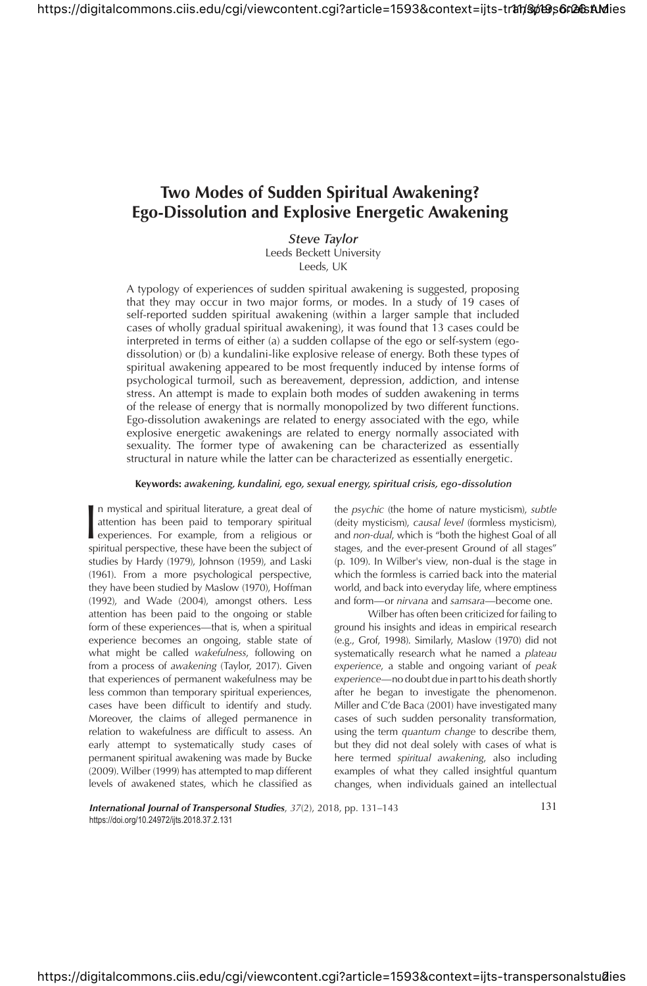## **Two Modes of Sudden Spiritual Awakening? Ego-Dissolution and Explosive Energetic Awakening**

*Steve Taylor* Leeds Beckett University

Leeds, UK

A typology of experiences of sudden spiritual awakening is suggested, proposing that they may occur in two major forms, or modes. In a study of 19 cases of self-reported sudden spiritual awakening (within a larger sample that included cases of wholly gradual spiritual awakening), it was found that 13 cases could be interpreted in terms of either (a) a sudden collapse of the ego or self-system (egodissolution) or (b) a kundalini-like explosive release of energy. Both these types of spiritual awakening appeared to be most frequently induced by intense forms of psychological turmoil, such as bereavement, depression, addiction, and intense stress. An attempt is made to explain both modes of sudden awakening in terms of the release of energy that is normally monopolized by two different functions. Ego-dissolution awakenings are related to energy associated with the ego, while explosive energetic awakenings are related to energy normally associated with sexuality. The former type of awakening can be characterized as essentially structural in nature while the latter can be characterized as essentially energetic.

**Keywords:** *awakening, kundalini, ego, sexual energy, spiritual crisis, ego-dissolution*

|<br>Sp n mystical and spiritual literature, a great deal of attention has been paid to temporary spiritual experiences. For example, from a religious or spiritual perspective, these have been the subject of studies by Hardy (1979), Johnson (1959), and Laski (1961). From a more psychological perspective, they have been studied by Maslow (1970), Hoffman (1992), and Wade (2004), amongst others. Less attention has been paid to the ongoing or stable form of these experiences—that is, when a spiritual experience becomes an ongoing, stable state of what might be called *wakefulness*, following on from a process of *awakening* (Taylor, 2017). Given that experiences of permanent wakefulness may be less common than temporary spiritual experiences, cases have been difficult to identify and study. Moreover, the claims of alleged permanence in relation to wakefulness are difficult to assess. An early attempt to systematically study cases of permanent spiritual awakening was made by Bucke (2009). Wilber (1999) has attempted to map different levels of awakened states, which he classified as

the *psychic* (the home of nature mysticism), *subtle* (deity mysticism), *causal level* (formless mysticism), and *non-dual*, which is "both the highest Goal of all stages, and the ever-present Ground of all stages" (p. 109). In Wilber's view, non-dual is the stage in which the formless is carried back into the material world, and back into everyday life, where emptiness and form—or *nirvana* and *samsara*—become one.

Wilber has often been criticized for failing to ground his insights and ideas in empirical research (e.g., Grof, 1998). Similarly, Maslow (1970) did not systematically research what he named a *plateau experience*, a stable and ongoing variant of *peak experience*—no doubt due in part to his death shortly after he began to investigate the phenomenon. Miller and C'de Baca (2001) have investigated many cases of such sudden personality transformation, using the term *quantum change* to describe them, but they did not deal solely with cases of what is here termed *spiritual awakening*, also including examples of what they called insightful quantum changes, when individuals gained an intellectual

**International Journal of Transpersonal Studies**,  $37(2)$ , 2018, pp. 131–143 *International Journal of Transpersonal Studies***,**  $37(2)$ **, 2018, pp. 131–143** https://doi.org/10.24972/ijts.2018.37.2.131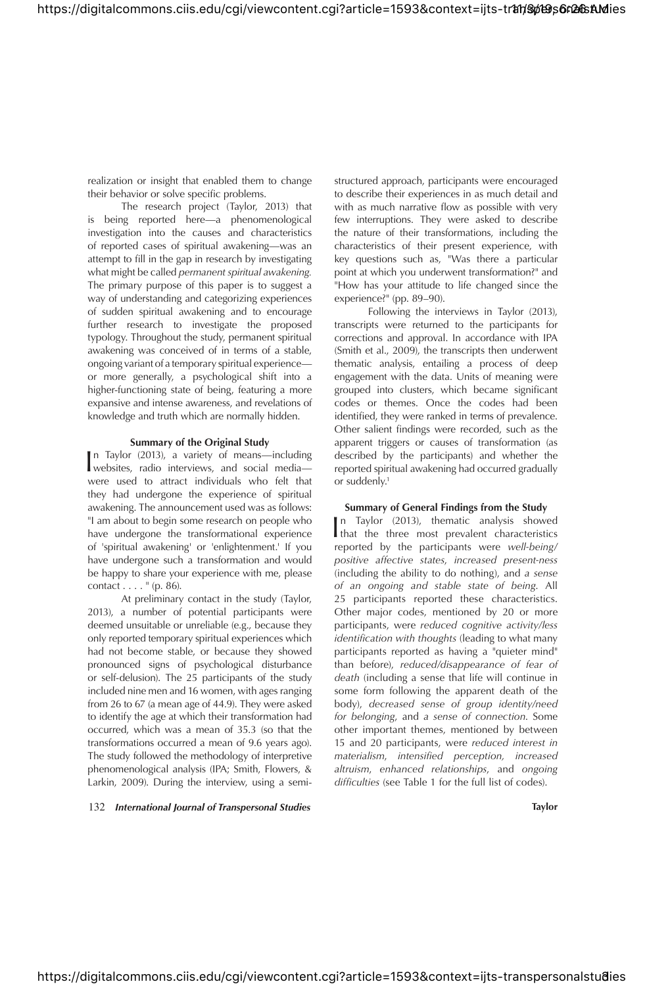realization or insight that enabled them to change their behavior or solve specific problems.

The research project (Taylor, 2013) that is being reported here—a phenomenological investigation into the causes and characteristics of reported cases of spiritual awakening—was an attempt to fill in the gap in research by investigating what might be called *permanent spiritual awakening.* The primary purpose of this paper is to suggest a way of understanding and categorizing experiences of sudden spiritual awakening and to encourage further research to investigate the proposed typology. Throughout the study, permanent spiritual awakening was conceived of in terms of a stable, ongoing variant of a temporary spiritual experience or more generally, a psychological shift into a higher-functioning state of being, featuring a more expansive and intense awareness, and revelations of knowledge and truth which are normally hidden.

#### **Summary of the Original Study**

In Taylor (2013), a variety of means—including<br>websites, radio interviews, and social media n Taylor (2013), a variety of means—including were used to attract individuals who felt that they had undergone the experience of spiritual awakening. The announcement used was as follows: "I am about to begin some research on people who have undergone the transformational experience of 'spiritual awakening' or 'enlightenment.' If you have undergone such a transformation and would be happy to share your experience with me, please contact  $\dots$  " (p. 86).

At preliminary contact in the study (Taylor, 2013), a number of potential participants were deemed unsuitable or unreliable (e.g., because they only reported temporary spiritual experiences which had not become stable, or because they showed pronounced signs of psychological disturbance or self-delusion). The 25 participants of the study included nine men and 16 women, with ages ranging from 26 to 67 (a mean age of 44.9). They were asked to identify the age at which their transformation had occurred, which was a mean of 35.3 (so that the transformations occurred a mean of 9.6 years ago). The study followed the methodology of interpretive phenomenological analysis (IPA; Smith, Flowers, & Larkin, 2009). During the interview, using a semi-

132 *International Journal of Transpersonal Studies* **Taylor**

structured approach, participants were encouraged to describe their experiences in as much detail and with as much narrative flow as possible with very few interruptions. They were asked to describe the nature of their transformations, including the characteristics of their present experience, with key questions such as, "Was there a particular point at which you underwent transformation?" and "How has your attitude to life changed since the experience?" (pp. 89–90).

Following the interviews in Taylor (2013), transcripts were returned to the participants for corrections and approval. In accordance with IPA (Smith et al., 2009), the transcripts then underwent thematic analysis, entailing a process of deep engagement with the data. Units of meaning were grouped into clusters, which became significant codes or themes. Once the codes had been identified, they were ranked in terms of prevalence. Other salient findings were recorded, such as the apparent triggers or causes of transformation (as described by the participants) and whether the reported spiritual awakening had occurred gradually or suddenly.<sup>1</sup>

### **Summary of General Findings from the Study**

In Taylor (2013), the<br>matic analysis showed that the three most prevalent characteristics<br> $\frac{1}{16}$ n Taylor (2013), thematic analysis showed reported by the participants were *well-being/ positive affective states*, *increased present-ness*  (including the ability to do nothing), and *a sense of an ongoing and stable state of being*. All 25 participants reported these characteristics. Other major codes, mentioned by 20 or more participants, were *reduced cognitive activity/less identification with thoughts* (leading to what many participants reported as having a "quieter mind" than before), *reduced/disappearance of fear of death* (including a sense that life will continue in some form following the apparent death of the body), *decreased sense of group identity/need for belonging*, and *a sense of connection*. Some other important themes, mentioned by between 15 and 20 participants, were *reduced interest in*   $materialism,$  intensified perception, increased *altruism*, *enhanced relationships*, and *ongoing*  difficulties (see Table 1 for the full list of codes).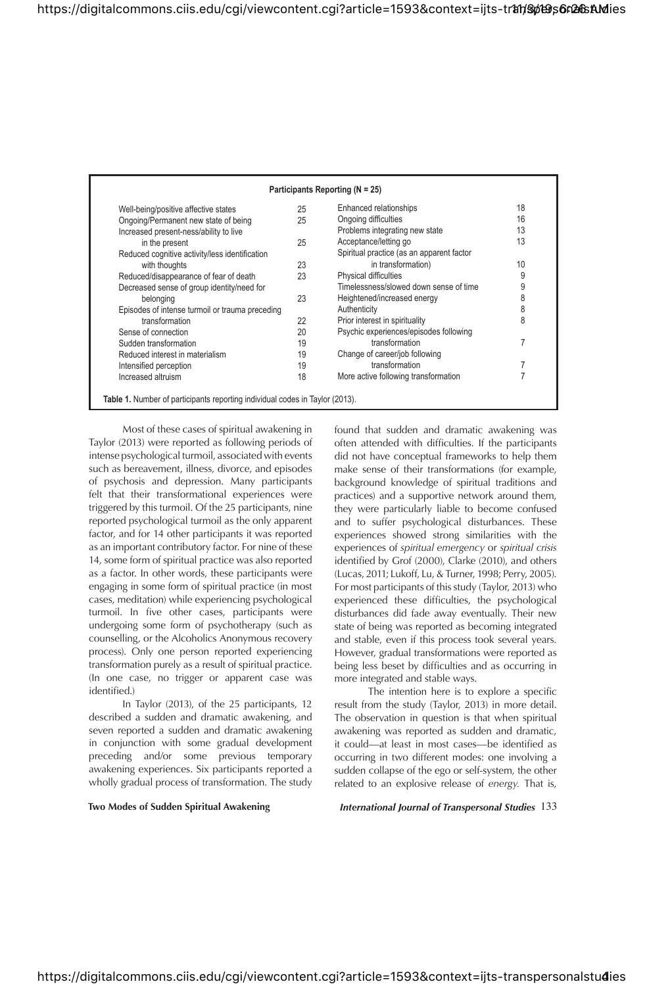| Well-being/positive affective states            | 25 | Enhanced relationships                    | 18 |
|-------------------------------------------------|----|-------------------------------------------|----|
| Ongoing/Permanent new state of being            | 25 | Ongoing difficulties                      | 16 |
| Increased present-ness/ability to live          |    | Problems integrating new state            | 13 |
| in the present                                  | 25 | Acceptance/letting go                     | 13 |
| Reduced cognitive activity/less identification  |    | Spiritual practice (as an apparent factor |    |
| with thoughts                                   | 23 | in transformation)                        | 10 |
| Reduced/disappearance of fear of death          | 23 | Physical difficulties                     | 9  |
| Decreased sense of group identity/need for      |    | Timelessness/slowed down sense of time    | 9  |
| belonging                                       | 23 | Heightened/increased energy               | 8  |
| Episodes of intense turmoil or trauma preceding |    | Authenticity                              | 8  |
| transformation                                  | 22 | Prior interest in spirituality            | 8  |
| Sense of connection                             | 20 | Psychic experiences/episodes following    |    |
| Sudden transformation                           | 19 | transformation                            |    |
| Reduced interest in materialism                 | 19 | Change of career/job following            |    |
| Intensified perception                          | 19 | transformation                            |    |
| Increased altruism                              | 18 | More active following transformation      |    |

Most of these cases of spiritual awakening in Taylor (2013) were reported as following periods of intense psychological turmoil, associated with events such as bereavement, illness, divorce, and episodes of psychosis and depression. Many participants felt that their transformational experiences were triggered by this turmoil. Of the 25 participants, nine reported psychological turmoil as the only apparent factor, and for 14 other participants it was reported as an important contributory factor. For nine of these 14, some form of spiritual practice was also reported as a factor. In other words, these participants were engaging in some form of spiritual practice (in most cases, meditation) while experiencing psychological turmoil. In five other cases, participants were undergoing some form of psychotherapy (such as counselling, or the Alcoholics Anonymous recovery process). Only one person reported experiencing transformation purely as a result of spiritual practice. (In one case, no trigger or apparent case was identified.)

In Taylor (2013), of the 25 participants, 12 described a sudden and dramatic awakening, and seven reported a sudden and dramatic awakening in conjunction with some gradual development preceding and/or some previous temporary awakening experiences. Six participants reported a wholly gradual process of transformation. The study

found that sudden and dramatic awakening was often attended with difficulties. If the participants did not have conceptual frameworks to help them make sense of their transformations (for example, background knowledge of spiritual traditions and practices) and a supportive network around them, they were particularly liable to become confused and to suffer psychological disturbances. These experiences showed strong similarities with the experiences of *spiritual emergency* or *spiritual crisis* identified by Grof (2000), Clarke (2010), and others (Lucas, 2011; Lukoff, Lu, & Turner, 1998; Perry, 2005). For most participants of this study (Taylor, 2013) who experienced these difficulties, the psychological disturbances did fade away eventually. Their new state of being was reported as becoming integrated and stable, even if this process took several years. However, gradual transformations were reported as being less beset by difficulties and as occurring in more integrated and stable ways.

The intention here is to explore a specific result from the study (Taylor, 2013) in more detail. The observation in question is that when spiritual awakening was reported as sudden and dramatic, it could-at least in most cases-be identified as occurring in two different modes: one involving a sudden collapse of the ego or self-system, the other related to an explosive release of *energy.* That is,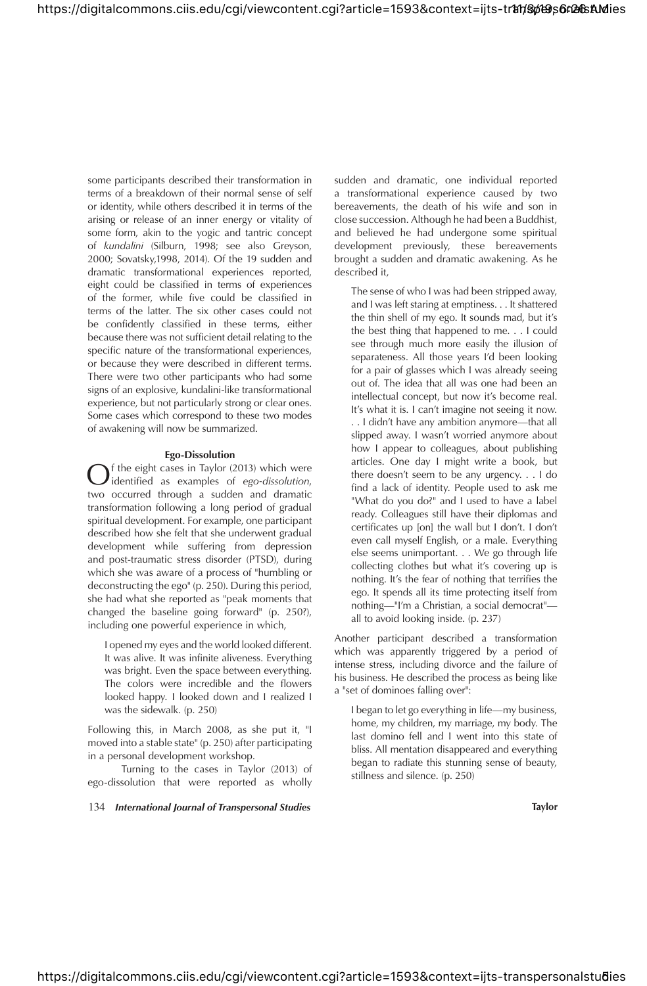some participants described their transformation in terms of a breakdown of their normal sense of self or identity, while others described it in terms of the arising or release of an inner energy or vitality of some form, akin to the yogic and tantric concept of *kundalini* (Silburn, 1998; see also Greyson, 2000; Sovatsky,1998, 2014). Of the 19 sudden and dramatic transformational experiences reported, eight could be classified in terms of experiences of the former, while five could be classified in terms of the latter. The six other cases could not be confidently classified in these terms, either because there was not sufficient detail relating to the specific nature of the transformational experiences, or because they were described in different terms. There were two other participants who had some signs of an explosive, kundalini-like transformational experience, but not particularly strong or clear ones. Some cases which correspond to these two modes of awakening will now be summarized.

#### **Ego-Dissolution**

 $\bigodot$  f the eight cases in Taylor (2013) which were<br>two occurred through a sudden and dramatic f the eight cases in Taylor (2013) which were identified as examples of ego-dissolution, transformation following a long period of gradual spiritual development. For example, one participant described how she felt that she underwent gradual development while suffering from depression and post-traumatic stress disorder (PTSD), during which she was aware of a process of "humbling or deconstructing the ego" (p. 250). During this period, she had what she reported as "peak moments that changed the baseline going forward" (p. 250?), including one powerful experience in which,

I opened my eyes and the world looked different. It was alive. It was infinite aliveness. Everything was bright. Even the space between everything. The colors were incredible and the flowers looked happy. I looked down and I realized I was the sidewalk. (p. 250)

Following this, in March 2008, as she put it, "I moved into a stable state" (p. 250) after participating in a personal development workshop.

Turning to the cases in Taylor (2013) of ego-dissolution that were reported as wholly

134 *International Journal of Transpersonal Studies* **Taylor**

sudden and dramatic, one individual reported a transformational experience caused by two bereavements, the death of his wife and son in close succession. Although he had been a Buddhist, and believed he had undergone some spiritual development previously, these bereavements brought a sudden and dramatic awakening. As he described it,

The sense of who I was had been stripped away, and I was left staring at emptiness. . . It shattered the thin shell of my ego. It sounds mad, but it's the best thing that happened to me. . . I could see through much more easily the illusion of separateness. All those years I'd been looking for a pair of glasses which I was already seeing out of. The idea that all was one had been an intellectual concept, but now it's become real. It's what it is. I can't imagine not seeing it now. . . I didn't have any ambition anymore—that all slipped away. I wasn't worried anymore about how I appear to colleagues, about publishing articles. One day I might write a book, but there doesn't seem to be any urgency. . . I do find a lack of identity. People used to ask me "What do you do?" and I used to have a label ready. Colleagues still have their diplomas and certificates up [on] the wall but I don't. I don't even call myself English, or a male. Everything else seems unimportant. . . We go through life collecting clothes but what it's covering up is nothing. It's the fear of nothing that terrifies the ego. It spends all its time protecting itself from nothing—"I'm a Christian, a social democrat" all to avoid looking inside. (p. 237)

Another participant described a transformation which was apparently triggered by a period of intense stress, including divorce and the failure of his business. He described the process as being like a "set of dominoes falling over":

I began to let go everything in life—my business, home, my children, my marriage, my body. The last domino fell and I went into this state of bliss. All mentation disappeared and everything began to radiate this stunning sense of beauty, stillness and silence. (p. 250)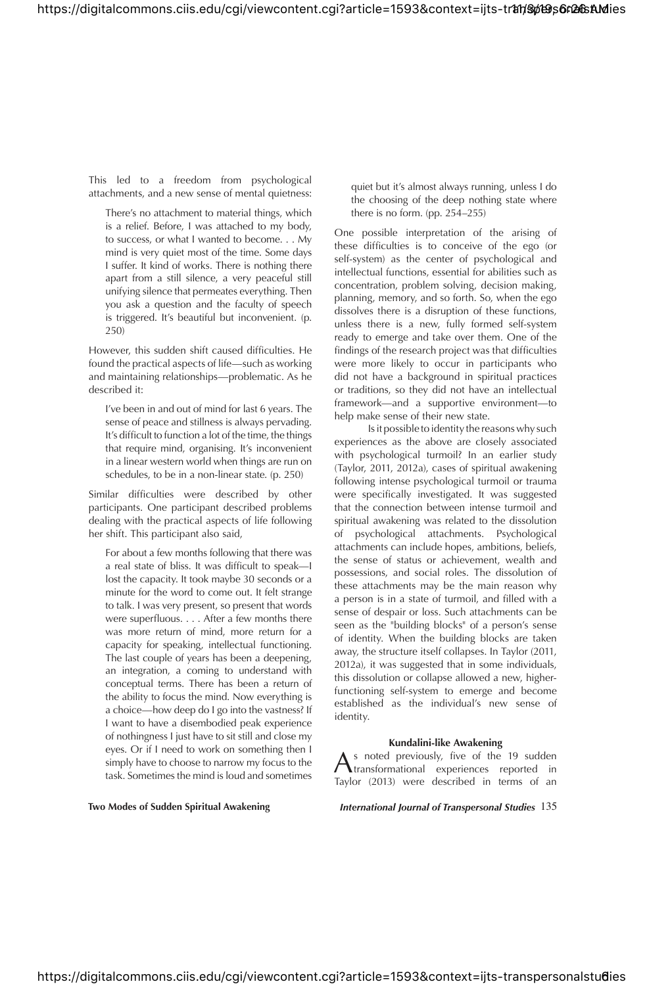This led to a freedom from psychological attachments, and a new sense of mental quietness:

There's no attachment to material things, which is a relief. Before, I was attached to my body, to success, or what I wanted to become. . . My mind is very quiet most of the time. Some days I suffer. It kind of works. There is nothing there apart from a still silence, a very peaceful still unifying silence that permeates everything. Then you ask a question and the faculty of speech is triggered. It's beautiful but inconvenient. (p. 250)

However, this sudden shift caused difficulties. He found the practical aspects of life—such as working and maintaining relationships—problematic. As he described it:

I've been in and out of mind for last 6 years. The sense of peace and stillness is always pervading. It's difficult to function a lot of the time, the things that require mind, organising. It's inconvenient in a linear western world when things are run on schedules, to be in a non-linear state. (p. 250)

Similar difficulties were described by other participants. One participant described problems dealing with the practical aspects of life following her shift. This participant also said,

For about a few months following that there was a real state of bliss. It was difficult to speak-I lost the capacity. It took maybe 30 seconds or a minute for the word to come out. It felt strange to talk. I was very present, so present that words were superfluous.  $\dots$  After a few months there was more return of mind, more return for a capacity for speaking, intellectual functioning. The last couple of years has been a deepening, an integration, a coming to understand with conceptual terms. There has been a return of the ability to focus the mind. Now everything is a choice—how deep do I go into the vastness? If I want to have a disembodied peak experience of nothingness I just have to sit still and close my eyes. Or if I need to work on something then I simply have to choose to narrow my focus to the task. Sometimes the mind is loud and sometimes

quiet but it's almost always running, unless I do the choosing of the deep nothing state where there is no form. (pp. 254–255)

One possible interpretation of the arising of these difficulties is to conceive of the ego (or self-system) as the center of psychological and intellectual functions, essential for abilities such as concentration, problem solving, decision making, planning, memory, and so forth. So, when the ego dissolves there is a disruption of these functions, unless there is a new, fully formed self-system ready to emerge and take over them. One of the findings of the research project was that difficulties were more likely to occur in participants who did not have a background in spiritual practices or traditions, so they did not have an intellectual framework—and a supportive environment—to help make sense of their new state.

Is it possible to identity the reasons why such experiences as the above are closely associated with psychological turmoil? In an earlier study (Taylor, 2011, 2012a), cases of spiritual awakening following intense psychological turmoil or trauma were specifically investigated. It was suggested that the connection between intense turmoil and spiritual awakening was related to the dissolution of psychological attachments. Psychological attachments can include hopes, ambitions, beliefs, the sense of status or achievement, wealth and possessions, and social roles. The dissolution of these attachments may be the main reason why a person is in a state of turmoil, and filled with a sense of despair or loss. Such attachments can be seen as the "building blocks" of a person's sense of identity. When the building blocks are taken away, the structure itself collapses. In Taylor (2011, 2012a), it was suggested that in some individuals, this dissolution or collapse allowed a new, higherfunctioning self-system to emerge and become established as the individual's new sense of identity.

#### **Kundalini-like Awakening**

 $\bigwedge^{\text{S} \text{ noted previously, five of the 19 sudden}}$ transformational experiences reported in Taylor (2013) were described in terms of an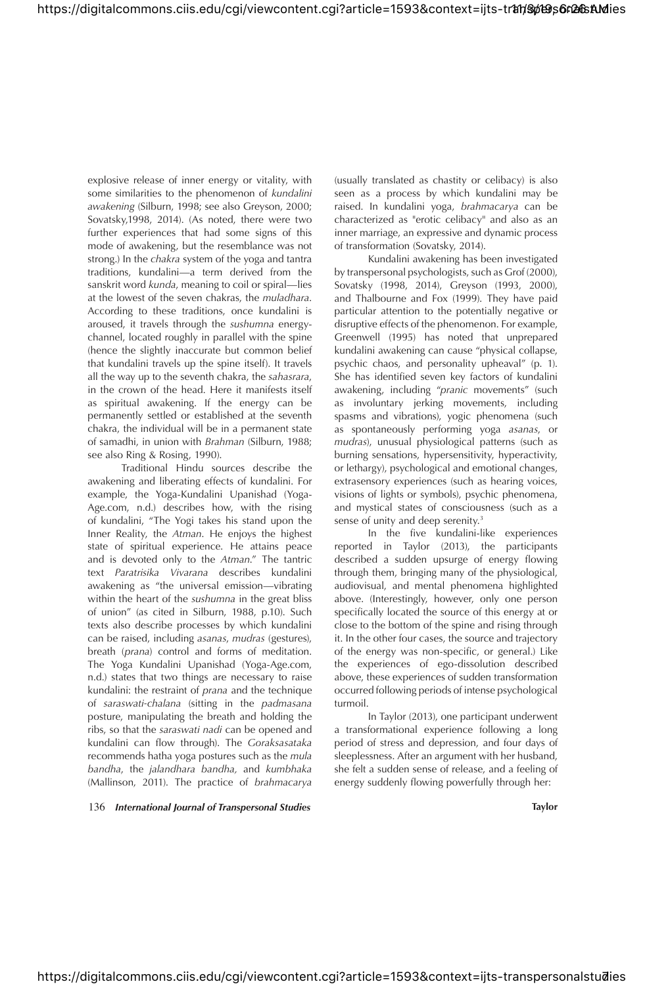explosive release of inner energy or vitality, with some similarities to the phenomenon of *kundalini awakening* (Silburn, 1998; see also Greyson, 2000; Sovatsky,1998, 2014). (As noted, there were two further experiences that had some signs of this mode of awakening, but the resemblance was not strong.) In the *chakra* system of the yoga and tantra traditions, kundalini—a term derived from the sanskrit word *kunda*, meaning to coil or spiral—lies at the lowest of the seven chakras, the *muladhara*. According to these traditions, once kundalini is aroused, it travels through the *sushumna* energychannel, located roughly in parallel with the spine (hence the slightly inaccurate but common belief that kundalini travels up the spine itself). It travels all the way up to the seventh chakra, the *sahasrara*, in the crown of the head. Here it manifests itself as spiritual awakening. If the energy can be permanently settled or established at the seventh chakra, the individual will be in a permanent state of samadhi, in union with *Brahman* (Silburn, 1988; see also Ring & Rosing, 1990).

Traditional Hindu sources describe the awakening and liberating effects of kundalini. For example, the Yoga-Kundalini Upanishad (Yoga-Age.com, n.d.) describes how, with the rising of kundalini, "The Yogi takes his stand upon the Inner Reality, the *Atman*. He enjoys the highest state of spiritual experience. He attains peace and is devoted only to the *Atman*." The tantric text *Paratrisika Vivarana* describes kundalini awakening as "the universal emission—vibrating within the heart of the *sushumna* in the great bliss of union" (as cited in Silburn, 1988, p.10). Such texts also describe processes by which kundalini can be raised, including *asanas*, *mudras* (gestures), breath (*prana*) control and forms of meditation. The Yoga Kundalini Upanishad (Yoga-Age.com, n.d.) states that two things are necessary to raise kundalini: the restraint of *prana* and the technique of *saraswati-chalana* (sitting in the *padmasana*  posture, manipulating the breath and holding the ribs, so that the *saraswati nadi* can be opened and kundalini can flow through). The Goraksasataka recommends hatha yoga postures such as the *mula bandha*, the *jalandhara bandha*, and *kumbhaka* (Mallinson, 2011). The practice of *brahmacarya*

136 *International Journal of Transpersonal Studies* **Taylor**

(usually translated as chastity or celibacy) is also seen as a process by which kundalini may be raised. In kundalini yoga, *brahmacarya* can be characterized as "erotic celibacy" and also as an inner marriage, an expressive and dynamic process of transformation (Sovatsky, 2014).

Kundalini awakening has been investigated by transpersonal psychologists, such as Grof (2000), Sovatsky (1998, 2014), Greyson (1993, 2000), and Thalbourne and Fox (1999). They have paid particular attention to the potentially negative or disruptive effects of the phenomenon. For example, Greenwell (1995) has noted that unprepared kundalini awakening can cause "physical collapse, psychic chaos, and personality upheaval" (p. 1). She has identified seven key factors of kundalini awakening, including "*pranic* movements" (such as involuntary jerking movements, including spasms and vibrations), yogic phenomena (such as spontaneously performing yoga *asanas*, or *mudras*), unusual physiological patterns (such as burning sensations, hypersensitivity, hyperactivity, or lethargy), psychological and emotional changes, extrasensory experiences (such as hearing voices, visions of lights or symbols), psychic phenomena, and mystical states of consciousness (such as a sense of unity and deep serenity.<sup>3</sup>

In the five kundalini-like experiences reported in Taylor (2013), the participants described a sudden upsurge of energy flowing through them, bringing many of the physiological, audiovisual, and mental phenomena highlighted above. (Interestingly, however, only one person specifically located the source of this energy at or close to the bottom of the spine and rising through it. In the other four cases, the source and trajectory of the energy was non-specific, or general.) Like the experiences of ego-dissolution described above, these experiences of sudden transformation occurred following periods of intense psychological turmoil.

In Taylor (2013), one participant underwent a transformational experience following a long period of stress and depression, and four days of sleeplessness. After an argument with her husband, she felt a sudden sense of release, and a feeling of energy suddenly flowing powerfully through her: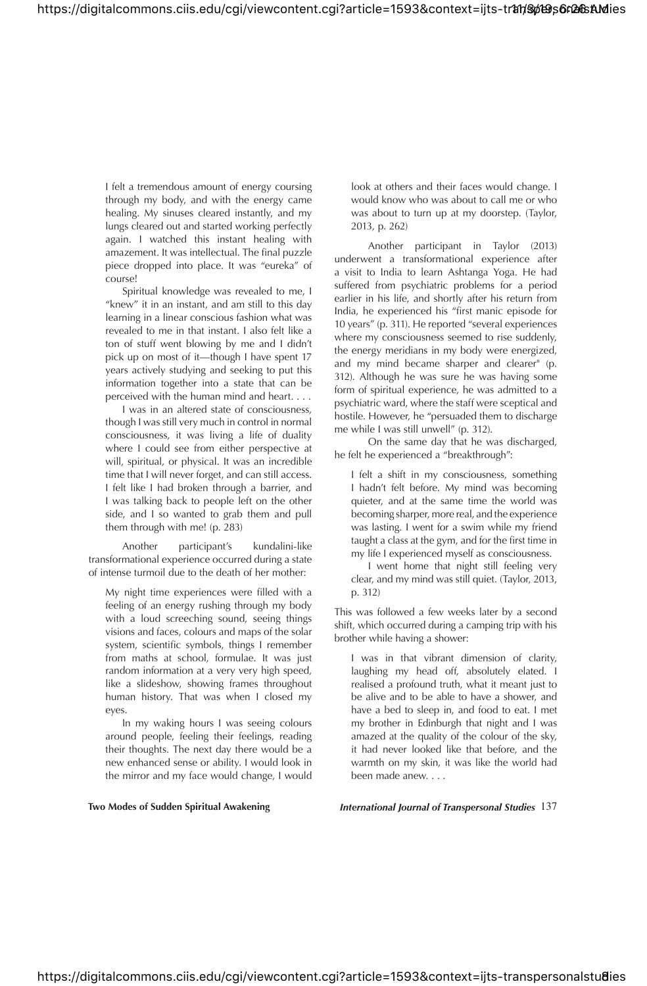I felt a tremendous amount of energy coursing through my body, and with the energy came healing. My sinuses cleared instantly, and my lungs cleared out and started working perfectly again. I watched this instant healing with amazement. It was intellectual. The final puzzle piece dropped into place. It was "eureka" of course!

Spiritual knowledge was revealed to me, I "knew" it in an instant, and am still to this day learning in a linear conscious fashion what was revealed to me in that instant. I also felt like a ton of stuff went blowing by me and I didn't pick up on most of it—though I have spent 17 years actively studying and seeking to put this information together into a state that can be perceived with the human mind and heart. . . .

I was in an altered state of consciousness, though I was still very much in control in normal consciousness, it was living a life of duality where I could see from either perspective at will, spiritual, or physical. It was an incredible time that I will never forget, and can still access. I felt like I had broken through a barrier, and I was talking back to people left on the other side, and I so wanted to grab them and pull them through with me! (p. 283)

Another participant's kundalini-like transformational experience occurred during a state of intense turmoil due to the death of her mother:

My night time experiences were filled with a feeling of an energy rushing through my body with a loud screeching sound, seeing things visions and faces, colours and maps of the solar system, scientific symbols, things I remember from maths at school, formulae. It was just random information at a very very high speed, like a slideshow, showing frames throughout human history. That was when I closed my eyes.

In my waking hours I was seeing colours around people, feeling their feelings, reading their thoughts. The next day there would be a new enhanced sense or ability. I would look in the mirror and my face would change, I would

look at others and their faces would change. I would know who was about to call me or who was about to turn up at my doorstep. (Taylor, 2013, p. 262)

Another participant in Taylor (2013) underwent a transformational experience after a visit to India to learn Ashtanga Yoga. He had suffered from psychiatric problems for a period earlier in his life, and shortly after his return from India, he experienced his "first manic episode for 10 years" (p. 311). He reported "several experiences where my consciousness seemed to rise suddenly, the energy meridians in my body were energized, and my mind became sharper and clearer" (p. 312). Although he was sure he was having some form of spiritual experience, he was admitted to a psychiatric ward, where the staff were sceptical and hostile. However, he "persuaded them to discharge me while I was still unwell" (p. 312).

On the same day that he was discharged, he felt he experienced a "breakthrough":

I felt a shift in my consciousness, something I hadn't felt before. My mind was becoming quieter, and at the same time the world was becoming sharper, more real, and the experience was lasting. I went for a swim while my friend taught a class at the gym, and for the first time in my life I experienced myself as consciousness.

I went home that night still feeling very clear, and my mind was still quiet. (Taylor, 2013, p. 312)

This was followed a few weeks later by a second shift, which occurred during a camping trip with his brother while having a shower:

I was in that vibrant dimension of clarity, laughing my head off, absolutely elated. I realised a profound truth, what it meant just to be alive and to be able to have a shower, and have a bed to sleep in, and food to eat. I met my brother in Edinburgh that night and I was amazed at the quality of the colour of the sky, it had never looked like that before, and the warmth on my skin, it was like the world had been made anew. . . .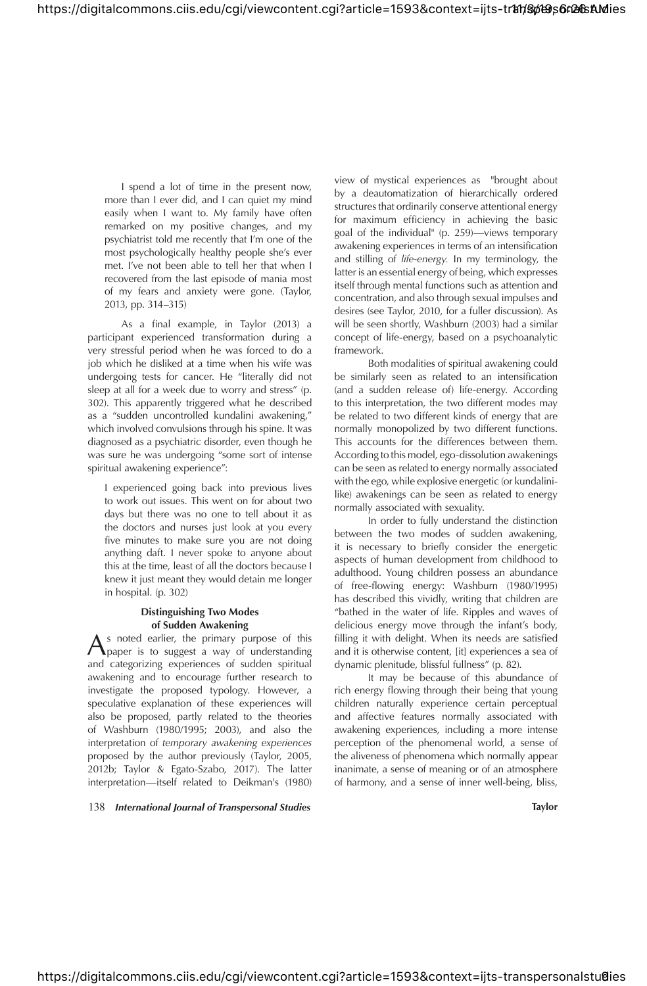I spend a lot of time in the present now, more than I ever did, and I can quiet my mind easily when I want to. My family have often remarked on my positive changes, and my psychiatrist told me recently that I'm one of the most psychologically healthy people she's ever met. I've not been able to tell her that when I recovered from the last episode of mania most of my fears and anxiety were gone. (Taylor, 2013, pp. 314–315)

As a final example, in Taylor (2013) a participant experienced transformation during a very stressful period when he was forced to do a job which he disliked at a time when his wife was undergoing tests for cancer. He "literally did not sleep at all for a week due to worry and stress" (p. 302). This apparently triggered what he described as a "sudden uncontrolled kundalini awakening," which involved convulsions through his spine. It was diagnosed as a psychiatric disorder, even though he was sure he was undergoing "some sort of intense spiritual awakening experience":

I experienced going back into previous lives to work out issues. This went on for about two days but there was no one to tell about it as the doctors and nurses just look at you every five minutes to make sure you are not doing anything daft. I never spoke to anyone about this at the time, least of all the doctors because I knew it just meant they would detain me longer in hospital. (p. 302)

### **Distinguishing Two Modes of Sudden Awakening**

A s noted earlier, the primary purpose of this<br>paper is to suggest a way of understanding paper is to suggest a way of understanding and categorizing experiences of sudden spiritual awakening and to encourage further research to investigate the proposed typology. However, a speculative explanation of these experiences will also be proposed, partly related to the theories of Washburn (1980/1995; 2003), and also the interpretation of *temporary awakening experiences* proposed by the author previously (Taylor, 2005, 2012b; Taylor & Egato-Szabo, 2017). The latter interpretation—itself related to Deikman's (1980)

138 *International Journal of Transpersonal Studies* **Taylor**

view of mystical experiences as "brought about by a deautomatization of hierarchically ordered structures that ordinarily conserve attentional energy for maximum efficiency in achieving the basic goal of the individual" (p. 259)—views temporary awakening experiences in terms of an intensification and stilling of *life-energy.* In my terminology, the latter is an essential energy of being, which expresses itself through mental functions such as attention and concentration, and also through sexual impulses and desires (see Taylor, 2010, for a fuller discussion). As will be seen shortly, Washburn (2003) had a similar concept of life-energy, based on a psychoanalytic framework.

Both modalities of spiritual awakening could be similarly seen as related to an intensification (and a sudden release of) life-energy. According to this interpretation, the two different modes may be related to two different kinds of energy that are normally monopolized by two different functions. This accounts for the differences between them. According to this model, ego-dissolution awakenings can be seen as related to energy normally associated with the ego, while explosive energetic (or kundalinilike) awakenings can be seen as related to energy normally associated with sexuality.

In order to fully understand the distinction between the two modes of sudden awakening, it is necessary to briefly consider the energetic aspects of human development from childhood to adulthood. Young children possess an abundance of free-flowing energy: Washburn (1980/1995) has described this vividly, writing that children are "bathed in the water of life. Ripples and waves of delicious energy move through the infant's body, filling it with delight. When its needs are satisfied and it is otherwise content, [it] experiences a sea of dynamic plenitude, blissful fullness" (p. 82).

It may be because of this abundance of rich energy flowing through their being that young children naturally experience certain perceptual and affective features normally associated with awakening experiences, including a more intense perception of the phenomenal world, a sense of the aliveness of phenomena which normally appear inanimate, a sense of meaning or of an atmosphere of harmony, and a sense of inner well-being, bliss,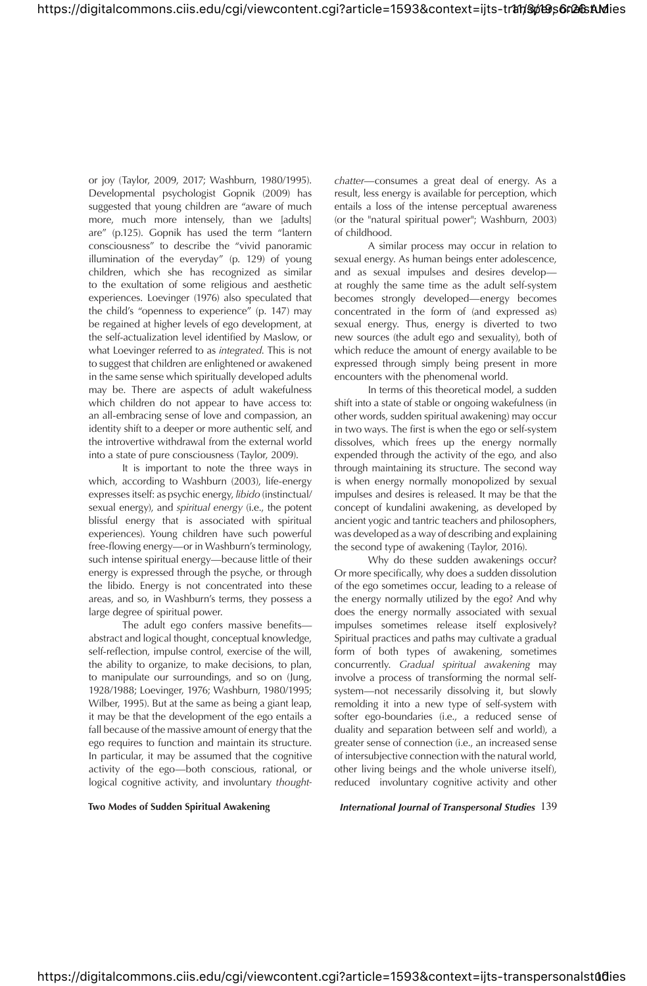or joy (Taylor, 2009, 2017; Washburn, 1980/1995). Developmental psychologist Gopnik (2009) has suggested that young children are "aware of much more, much more intensely, than we [adults] are" (p.125). Gopnik has used the term "lantern consciousness" to describe the "vivid panoramic illumination of the everyday" (p. 129) of young children, which she has recognized as similar to the exultation of some religious and aesthetic experiences. Loevinger (1976) also speculated that the child's "openness to experience" (p. 147) may be regained at higher levels of ego development, at the self-actualization level identified by Maslow, or what Loevinger referred to as *integrated*. This is not to suggest that children are enlightened or awakened in the same sense which spiritually developed adults may be. There are aspects of adult wakefulness which children do not appear to have access to: an all-embracing sense of love and compassion, an identity shift to a deeper or more authentic self, and the introvertive withdrawal from the external world into a state of pure consciousness (Taylor, 2009).

It is important to note the three ways in which, according to Washburn (2003), life-energy expresses itself: as psychic energy, *libido* (instinctual/ sexual energy), and *spiritual energy* (i.e., the potent blissful energy that is associated with spiritual experiences). Young children have such powerful free-flowing energy-or in Washburn's terminology, such intense spiritual energy—because little of their energy is expressed through the psyche, or through the libido. Energy is not concentrated into these areas, and so, in Washburn's terms, they possess a large degree of spiritual power.

The adult ego confers massive benefitsabstract and logical thought, conceptual knowledge, self-reflection, impulse control, exercise of the will, the ability to organize, to make decisions, to plan, to manipulate our surroundings, and so on (Jung, 1928/1988; Loevinger, 1976; Washburn, 1980/1995; Wilber, 1995). But at the same as being a giant leap, it may be that the development of the ego entails a fall because of the massive amount of energy that the ego requires to function and maintain its structure. In particular, it may be assumed that the cognitive activity of the ego—both conscious, rational, or logical cognitive activity, and involuntary *thought-*

*chatter*—consumes a great deal of energy. As a result, less energy is available for perception, which entails a loss of the intense perceptual awareness (or the "natural spiritual power"; Washburn, 2003) of childhood.

A similar process may occur in relation to sexual energy. As human beings enter adolescence, and as sexual impulses and desires develop at roughly the same time as the adult self-system becomes strongly developed—energy becomes concentrated in the form of (and expressed as) sexual energy. Thus, energy is diverted to two new sources (the adult ego and sexuality), both of which reduce the amount of energy available to be expressed through simply being present in more encounters with the phenomenal world.

In terms of this theoretical model, a sudden shift into a state of stable or ongoing wakefulness (in other words, sudden spiritual awakening) may occur in two ways. The first is when the ego or self-system dissolves, which frees up the energy normally expended through the activity of the ego, and also through maintaining its structure. The second way is when energy normally monopolized by sexual impulses and desires is released. It may be that the concept of kundalini awakening, as developed by ancient yogic and tantric teachers and philosophers, was developed as a way of describing and explaining the second type of awakening (Taylor, 2016).

Why do these sudden awakenings occur? Or more specifically, why does a sudden dissolution of the ego sometimes occur, leading to a release of the energy normally utilized by the ego? And why does the energy normally associated with sexual impulses sometimes release itself explosively? Spiritual practices and paths may cultivate a gradual form of both types of awakening, sometimes concurrently. *Gradual spiritual awakening* may involve a process of transforming the normal selfsystem—not necessarily dissolving it, but slowly remolding it into a new type of self-system with softer ego-boundaries (i.e., a reduced sense of duality and separation between self and world), a greater sense of connection (i.e., an increased sense of intersubjective connection with the natural world, other living beings and the whole universe itself), reduced involuntary cognitive activity and other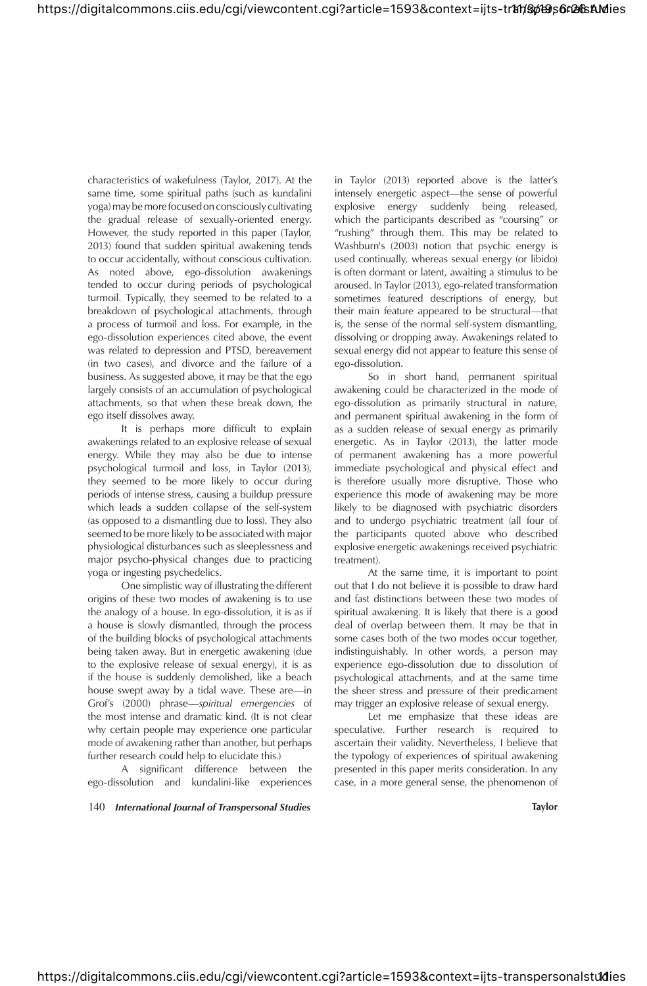characteristics of wakefulness (Taylor, 2017). At the same time, some spiritual paths (such as kundalini yoga) may be more focused on consciously cultivating the gradual release of sexually-oriented energy. However, the study reported in this paper (Taylor, 2013) found that sudden spiritual awakening tends to occur accidentally, without conscious cultivation. As noted above, ego-dissolution awakenings tended to occur during periods of psychological turmoil. Typically, they seemed to be related to a breakdown of psychological attachments, through a process of turmoil and loss. For example, in the ego-dissolution experiences cited above, the event was related to depression and PTSD, bereavement (in two cases), and divorce and the failure of a business. As suggested above, it may be that the ego largely consists of an accumulation of psychological attachments, so that when these break down, the ego itself dissolves away.

It is perhaps more difficult to explain awakenings related to an explosive release of sexual energy. While they may also be due to intense psychological turmoil and loss, in Taylor (2013), they seemed to be more likely to occur during periods of intense stress, causing a buildup pressure which leads a sudden collapse of the self-system (as opposed to a dismantling due to loss). They also seemed to be more likely to be associated with major physiological disturbances such as sleeplessness and major psycho-physical changes due to practicing yoga or ingesting psychedelics.

One simplistic way of illustrating the different origins of these two modes of awakening is to use the analogy of a house. In ego-dissolution, it is as if a house is slowly dismantled, through the process of the building blocks of psychological attachments being taken away. But in energetic awakening (due to the explosive release of sexual energy), it is as if the house is suddenly demolished, like a beach house swept away by a tidal wave. These are—in Grof's (2000) phrase—*spiritual emergencies* of the most intense and dramatic kind. (It is not clear why certain people may experience one particular mode of awakening rather than another, but perhaps further research could help to elucidate this.)

A significant difference between the ego-dissolution and kundalini-like experiences

140 *International Journal of Transpersonal Studies* **Taylor**

in Taylor (2013) reported above is the latter's intensely energetic aspect—the sense of powerful explosive energy suddenly being released, which the participants described as "coursing" or "rushing" through them. This may be related to Washburn's (2003) notion that psychic energy is used continually, whereas sexual energy (or libido) is often dormant or latent, awaiting a stimulus to be aroused. In Taylor (2013), ego-related transformation sometimes featured descriptions of energy, but their main feature appeared to be structural—that is, the sense of the normal self-system dismantling, dissolving or dropping away. Awakenings related to sexual energy did not appear to feature this sense of ego-dissolution.

So in short hand, permanent spiritual awakening could be characterized in the mode of ego-dissolution as primarily structural in nature, and permanent spiritual awakening in the form of as a sudden release of sexual energy as primarily energetic. As in Taylor (2013), the latter mode of permanent awakening has a more powerful immediate psychological and physical effect and is therefore usually more disruptive. Those who experience this mode of awakening may be more likely to be diagnosed with psychiatric disorders and to undergo psychiatric treatment (all four of the participants quoted above who described explosive energetic awakenings received psychiatric treatment).

At the same time, it is important to point out that I do not believe it is possible to draw hard and fast distinctions between these two modes of spiritual awakening. It is likely that there is a good deal of overlap between them. It may be that in some cases both of the two modes occur together, indistinguishably. In other words, a person may experience ego-dissolution due to dissolution of psychological attachments, and at the same time the sheer stress and pressure of their predicament may trigger an explosive release of sexual energy.

Let me emphasize that these ideas are speculative. Further research is required to ascertain their validity. Nevertheless, I believe that the typology of experiences of spiritual awakening presented in this paper merits consideration. In any case, in a more general sense, the phenomenon of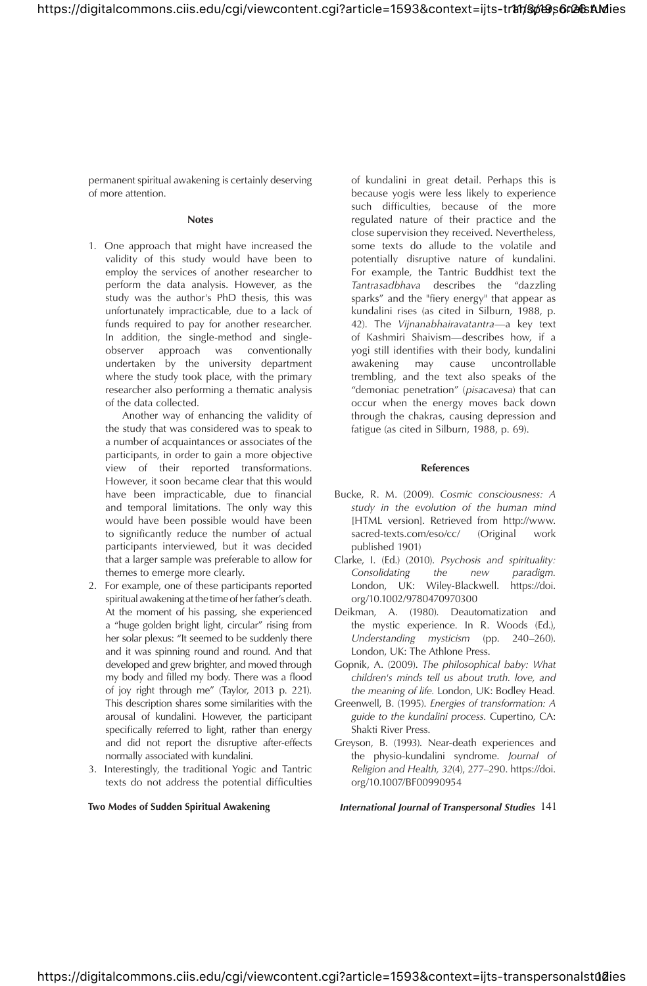permanent spiritual awakening is certainly deserving of more attention.

#### **Notes**

1. One approach that might have increased the validity of this study would have been to employ the services of another researcher to perform the data analysis. However, as the study was the author's PhD thesis, this was unfortunately impracticable, due to a lack of funds required to pay for another researcher. In addition, the single-method and singleobserver approach was conventionally undertaken by the university department where the study took place, with the primary researcher also performing a thematic analysis of the data collected.

 Another way of enhancing the validity of the study that was considered was to speak to a number of acquaintances or associates of the participants, in order to gain a more objective view of their reported transformations. However, it soon became clear that this would have been impracticable, due to financial and temporal limitations. The only way this would have been possible would have been to significantly reduce the number of actual participants interviewed, but it was decided that a larger sample was preferable to allow for themes to emerge more clearly.

- 2. For example, one of these participants reported spiritual awakening at the time of her father's death. At the moment of his passing, she experienced a "huge golden bright light, circular" rising from her solar plexus: "It seemed to be suddenly there and it was spinning round and round. And that developed and grew brighter, and moved through my body and filled my body. There was a flood of joy right through me" (Taylor, 2013 p. 221). This description shares some similarities with the arousal of kundalini. However, the participant specifically referred to light, rather than energy and did not report the disruptive after-effects normally associated with kundalini.
- 3. Interestingly, the traditional Yogic and Tantric texts do not address the potential difficulties

of kundalini in great detail. Perhaps this is because yogis were less likely to experience such difficulties, because of the more regulated nature of their practice and the close supervision they received. Nevertheless, some texts do allude to the volatile and potentially disruptive nature of kundalini. For example, the Tantric Buddhist text the *Tantrasadbhava* describes the "dazzling sparks" and the "fiery energy" that appear as kundalini rises (as cited in Silburn, 1988, p. 42). The *Vijnanabhairavatantra*—a key text of Kashmiri Shaivism—describes how, if a yogi still identifies with their body, kundalini awakening may cause uncontrollable trembling, and the text also speaks of the "demoniac penetration" (*pisacavesa*) that can occur when the energy moves back down through the chakras, causing depression and fatigue (as cited in Silburn, 1988, p. 69).

#### **References**

- Bucke, R. M. (2009). *Cosmic consciousness: A study in the evolution of the human mind*  [HTML version]. Retrieved from http://www. sacred-texts.com/eso/cc/ (Original work published 1901)
- Clarke, I. (Ed.) (2010). *Psychosis and spirituality: Consolidating* the new London, UK: Wiley-Blackwell. https://doi. org/10.1002/9780470970300
- Deikman, A. (1980). Deautomatization and the mystic experience. In R. Woods (Ed.), *Understanding mysticism* (pp. 240–260). London, UK: The Athlone Press.
- Gopnik, A. (2009). *The philosophical baby: What*  children's minds tell us about truth. love, and *the meaning of life.* London, UK: Bodley Head.
- Greenwell, B. (1995). *Energies of transformation: A guide to the kundalini process.* Cupertino, CA: Shakti River Press.
- Greyson, B. (1993). Near-death experiences and the physio-kundalini syndrome. *Journal of Religion and Health, 32(4), 277–290. https://doi.* org/10.1007/BF00990954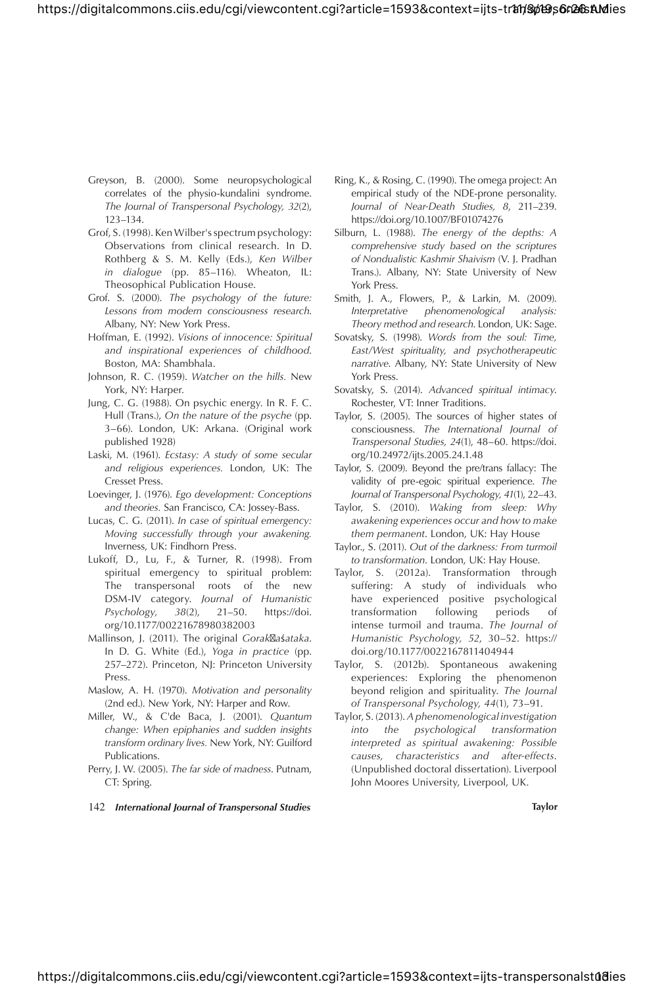- Greyson, B. (2000). Some neuropsychological correlates of the physio-kundalini syndrome. *The Journal of Transpersonal Psychology, 32(2),* 123–134.
- Grof, S. (1998). Ken Wilber's spectrum psychology: Observations from clinical research. In D. Rothberg & S. M. Kelly (Eds.), *Ken Wilber in dialogue* (pp. 85–116)*.* Wheaton, IL: Theosophical Publication House.
- Grof. S. (2000). *The psychology of the future: Lessons from modern consciousness research*. Albany, NY: New York Press.
- Hoffman, E. (1992). *Visions of innocence: Spiritual and inspirational experiences of childhood*. Boston, MA: Shambhala.
- Johnson, R. C. (1959). *Watcher on the hills.* New York, NY: Harper.
- Jung, C. G. (1988). On psychic energy. In R. F. C. Hull (Trans.), *On the nature of the psyche* (pp. 3–66). London, UK: Arkana. (Original work published 1928)
- Laski, M. (1961). *Ecstasy: A study of some secular and religious experiences.* London, UK: The Cresset Press.
- Loevinger, J. (1976). *Ego development: Conceptions and theories.* San Francisco, CA: Jossey-Bass.
- Lucas, C. G. (2011). *In case of spiritual emergency: Moving successfully through your awakening.* Inverness, UK: Findhorn Press.
- Lukoff, D., Lu, F., & Turner, R. (1998). From spiritual emergency to spiritual problem: The transpersonal roots of the new DSM-IV category. *Journal of Humanistic Psychology, 38(2), 21-50.* https://doi. org/10.1177/00221678980382003
- Mallinson, J. (2011). The original *Gorak a*ś*ataka*. In D. G. White (Ed.), *Yoga in practice* (pp. 257–272). Princeton, NJ: Princeton University Press.
- Maslow, A. H. (1970). *Motivation and personality* (2nd ed.). New York, NY: Harper and Row.
- Miller, W., & C'de Baca, J. (2001). *Quantum change: When epiphanies and sudden insights transform ordinary lives.* New York, NY: Guilford Publications.
- Perry, J. W. (2005). *The far side of madness*. Putnam, CT: Spring.
- 142 *International Journal of Transpersonal Studies* **Taylor**
- Ring, K., & Rosing, C. (1990). The omega project: An empirical study of the NDE-prone personality. *Journal of Near-Death Studies, 8, 211–239.* https://doi.org/10.1007/BF01074276
- Silburn, L. (1988). *The energy of the depths: A comprehensive study based on the scriptures of Nondualistic Kashmir Shaivism* (V. J. Pradhan Trans.). Albany, NY: State University of New York Press.
- Smith, J. A., Flowers, P., & Larkin, M. (2009). *Interpretative phenomenological analysis: Theory method and research*. London, UK: Sage.
- Sovatsky, S. (1998). *Words from the soul: Time,* East/West spirituality, and psychotherapeutic *narrative*. Albany, NY: State University of New York Press.
- Sovatsky, S. (2014). *Advanced spiritual intimacy*. Rochester, VT: Inner Traditions.
- Taylor, S. (2005). The sources of higher states of consciousness. *The International Journal of Transpersonal Studies, 24(1), 48-60. https://doi.* org/10.24972/ijts.2005.24.1.48
- Taylor, S. (2009). Beyond the pre/trans fallacy: The validity of pre-egoic spiritual experience. *The*  Journal of Transpersonal Psychology, 41(1), 22-43.
- Taylor, S. (2010). *Waking from sleep: Why awakening experiences occur and how to make them permanent*. London, UK: Hay House
- Taylor., S. (2011). *Out of the darkness: From turmoil to transformation*. London, UK: Hay House.
- Taylor, S. (2012a). Transformation through suffering: A study of individuals who have experienced positive psychological<br>transformation following periods of transformation following periods of intense turmoil and trauma. *The Journal of Humanistic Psychology, 52, 30-52. https://* doi.org/10.1177/0022167811404944
- Taylor, S. (2012b). Spontaneous awakening experiences: Exploring the phenomenon beyond religion and spirituality. *The Journal*  of Transpersonal Psychology, 44(1), 73-91.
- Taylor, S. (2013). *A phenomenological investigation into the psychological transformation interpreted as spiritual awakening: Possible*   $causes, characteristics and after-effects.$ (Unpublished doctoral dissertation). Liverpool John Moores University, Liverpool, UK.